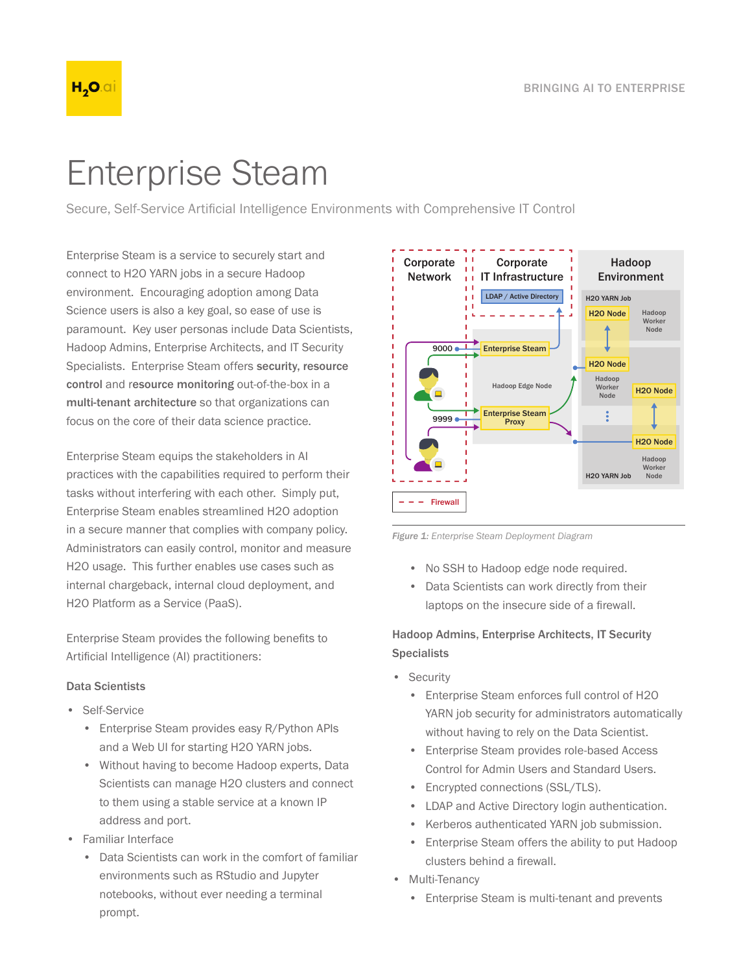

# Enterprise Steam

Secure, Self-Service Artificial Intelligence Environments with Comprehensive IT Control

Enterprise Steam is a service to securely start and connect to H2O YARN jobs in a secure Hadoop environment. Encouraging adoption among Data Science users is also a key goal, so ease of use is paramount. Key user personas include Data Scientists, Hadoop Admins, Enterprise Architects, and IT Security Specialists. Enterprise Steam offers security, resource control and resource monitoring out-of-the-box in a multi-tenant architecture so that organizations can focus on the core of their data science practice.

Enterprise Steam equips the stakeholders in AI practices with the capabilities required to perform their tasks without interfering with each other. Simply put, Enterprise Steam enables streamlined H2O adoption in a secure manner that complies with company policy. Administrators can easily control, monitor and measure H2O usage. This further enables use cases such as internal chargeback, internal cloud deployment, and H2O Platform as a Service (PaaS).

Enterprise Steam provides the following benefits to Artificial Intelligence (AI) practitioners:

#### Data Scientists

- Self-Service
	- Enterprise Steam provides easy R/Python APIs and a Web UI for starting H2O YARN jobs.
	- Without having to become Hadoop experts, Data Scientists can manage H2O clusters and connect to them using a stable service at a known IP address and port.
- Familiar Interface
	- Data Scientists can work in the comfort of familiar environments such as RStudio and Jupyter notebooks, without ever needing a terminal prompt.



*Figure 1: Enterprise Steam Deployment Diagram*

- No SSH to Hadoop edge node required.
- Data Scientists can work directly from their laptops on the insecure side of a firewall.

#### Hadoop Admins, Enterprise Architects, IT Security **Specialists**

- Security
	- Enterprise Steam enforces full control of H2O YARN job security for administrators automatically without having to rely on the Data Scientist.
	- Enterprise Steam provides role-based Access Control for Admin Users and Standard Users.
	- Encrypted connections (SSL/TLS).
	- LDAP and Active Directory login authentication.
	- Kerberos authenticated YARN job submission.
	- Enterprise Steam offers the ability to put Hadoop clusters behind a firewall.
- Multi-Tenancy
	- Enterprise Steam is multi-tenant and prevents